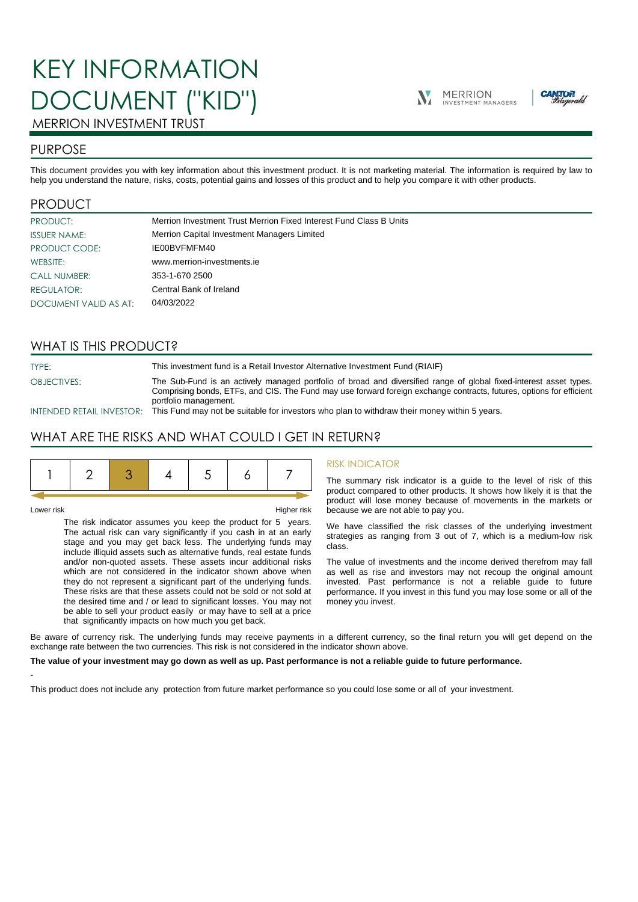# KEY INFORMATION DOCUMENT ("KID")





## MERRION INVESTMENT TRUST

## PURPOSE

This document provides you with key information about this investment product. It is not marketing material. The information is required by law to help you understand the nature, risks, costs, potential gains and losses of this product and to help you compare it with other products.

## PRODUCT

| PRODUCT:              | Merrion Investment Trust Merrion Fixed Interest Fund Class B Units |
|-----------------------|--------------------------------------------------------------------|
| <b>ISSUER NAME:</b>   | Merrion Capital Investment Managers Limited                        |
| PRODUCT CODE:         | IE00BVFMFM40                                                       |
| WEBSITE:              | www.merrion-investments.ie                                         |
| <b>CALL NUMBER:</b>   | 353-1-670 2500                                                     |
| REGULATOR:            | Central Bank of Ireland                                            |
| DOCUMENT VALID AS AT: | 04/03/2022                                                         |

## WHAT IS THIS PRODUCT?

TYPE: This investment fund is a Retail Investor Alternative Investment Fund (RIAIF) OBJECTIVES: The Sub-Fund is an actively managed portfolio of broad and diversified range of global fixed-interest asset types. Comprising bonds, ETFs, and CIS. The Fund may use forward foreign exchange contracts, futures, options for efficient portfolio management.

INTENDED RETAIL INVESTOR: This Fund may not be suitable for investors who plan to withdraw their money within 5 years.

## WHAT ARE THE RISKS AND WHAT COULD I GET IN RETURN?

|--|--|--|--|--|--|--|--|

-

Lower risk Higher risk

The risk indicator assumes you keep the product for 5 years. The actual risk can vary significantly if you cash in at an early stage and you may get back less. The underlying funds may include illiquid assets such as alternative funds, real estate funds and/or non-quoted assets. These assets incur additional risks which are not considered in the indicator shown above when they do not represent a significant part of the underlying funds. These risks are that these assets could not be sold or not sold at the desired time and / or lead to significant losses. You may not be able to sell your product easily or may have to sell at a price that significantly impacts on how much you get back.

#### RISK INDICATOR

The summary risk indicator is a guide to the level of risk of this product compared to other products. It shows how likely it is that the product will lose money because of movements in the markets or because we are not able to pay you.

We have classified the risk classes of the underlying investment strategies as ranging from 3 out of 7, which is a medium-low risk class.

The value of investments and the income derived therefrom may fall as well as rise and investors may not recoup the original amount invested. Past performance is not a reliable guide to future performance. If you invest in this fund you may lose some or all of the money you invest.

Be aware of currency risk. The underlying funds may receive payments in a different currency, so the final return you will get depend on the exchange rate between the two currencies. This risk is not considered in the indicator shown above.

#### **The value of your investment may go down as well as up. Past performance is not a reliable guide to future performance.**

This product does not include any protection from future market performance so you could lose some or all of your investment.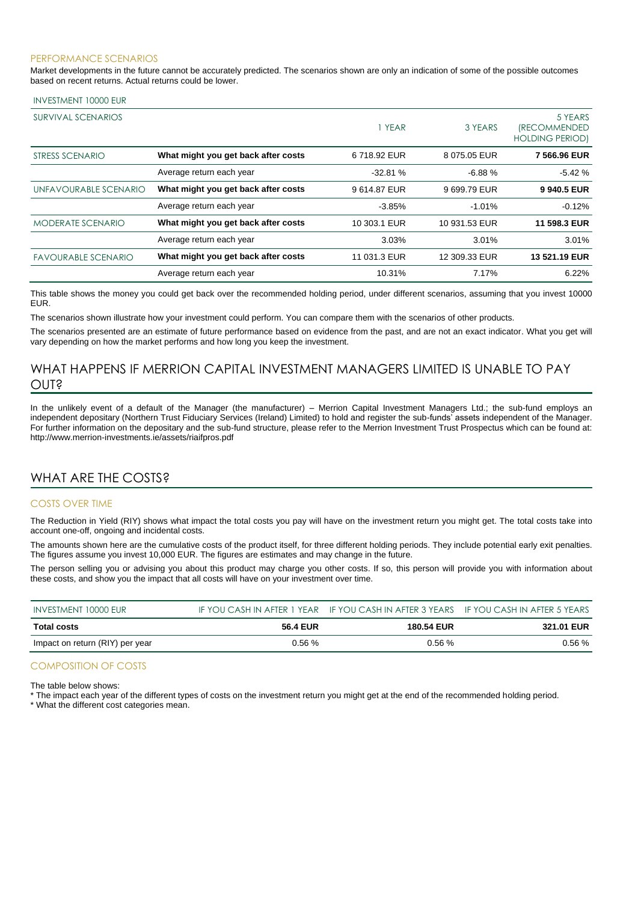#### PERFORMANCE SCENARIOS

Market developments in the future cannot be accurately predicted. The scenarios shown are only an indication of some of the possible outcomes based on recent returns. Actual returns could be lower.

#### INVESTMENT 10000 EUR

| <b>SURVIVAL SCENARIOS</b>  |                                     | 1 YEAR       | 3 YEARS       | 5 YEARS<br><i><b>IRECOMMENDED</b></i><br><b>HOLDING PERIOD)</b> |
|----------------------------|-------------------------------------|--------------|---------------|-----------------------------------------------------------------|
| STRESS SCENARIO            | What might you get back after costs | 6718.92 EUR  | 8 075.05 EUR  | 7 566,96 EUR                                                    |
|                            | Average return each year            | $-32.81%$    | $-6.88%$      | $-5.42%$                                                        |
| UNFAVOURABLE SCENARIO      | What might you get back after costs | 9614.87 EUR  | 9699.79 EUR   | 9940.5 EUR                                                      |
|                            | Average return each year            | $-3.85%$     | $-1.01%$      | $-0.12%$                                                        |
| <b>MODERATE SCENARIO</b>   | What might you get back after costs | 10 303.1 EUR | 10 931.53 EUR | 11 598.3 EUR                                                    |
|                            | Average return each year            | 3.03%        | 3.01%         | 3.01%                                                           |
| <b>FAVOURABLE SCENARIO</b> | What might you get back after costs | 11 031.3 EUR | 12 309.33 EUR | 13 521.19 EUR                                                   |
|                            | Average return each year            | 10.31%       | 7.17%         | 6.22%                                                           |

This table shows the money you could get back over the recommended holding period, under different scenarios, assuming that you invest 10000 EUR.

The scenarios shown illustrate how your investment could perform. You can compare them with the scenarios of other products.

The scenarios presented are an estimate of future performance based on evidence from the past, and are not an exact indicator. What you get will vary depending on how the market performs and how long you keep the investment.

## WHAT HAPPENS IF MERRION CAPITAL INVESTMENT MANAGERS LIMITED IS UNABLE TO PAY OUT?

In the unlikely event of a default of the Manager (the manufacturer) – Merrion Capital Investment Managers Ltd.; the sub-fund employs an independent depositary (Northern Trust Fiduciary Services (Ireland) Limited) to hold and register the sub-funds' assets independent of the Manager. For further information on the depositary and the sub-fund structure, please refer to the Merrion Investment Trust Prospectus which can be found at: http://www.merrion-investments.ie/assets/riaifpros.pdf

## WHAT ARE THE COSTS?

#### COSTS OVER TIME

The Reduction in Yield (RIY) shows what impact the total costs you pay will have on the investment return you might get. The total costs take into account one-off, ongoing and incidental costs.

The amounts shown here are the cumulative costs of the product itself, for three different holding periods. They include potential early exit penalties. The figures assume you invest 10,000 EUR. The figures are estimates and may change in the future.

The person selling you or advising you about this product may charge you other costs. If so, this person will provide you with information about these costs, and show you the impact that all costs will have on your investment over time.

| INVESTMENT 10000 EUR            |                 | IF YOU CASH IN AFTER 1 YEAR IF YOU CASH IN AFTER 3 YEARS IF YOU CASH IN AFTER 5 YEARS |            |
|---------------------------------|-----------------|---------------------------------------------------------------------------------------|------------|
| Total costs                     | <b>56.4 EUR</b> | <b>180.54 EUR</b>                                                                     | 321.01 EUR |
| Impact on return (RIY) per year | 0.56%           | 0.56%                                                                                 | 0.56 %     |

### COMPOSITION OF COSTS

The table below shows:

\* The impact each year of the different types of costs on the investment return you might get at the end of the recommended holding period.

\* What the different cost categories mean.